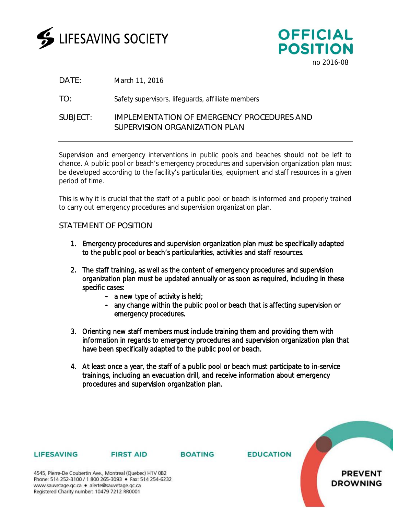



DATE: March 11, 2016

TO: Safety supervisors, lifeguards, affiliate members

## SUBJECT: IMPLEMENTATION OF EMERGENCY PROCEDURES AND SUPERVISION ORGANIZATION PLAN

Supervision and emergency interventions in public pools and beaches should not be left to chance. A public pool or beach's emergency procedures and supervision organization plan must be developed according to the facility's particularities, equipment and staff resources in a given period of time.

This is why it is crucial that the staff of a public pool or beach is informed and properly trained to carry out emergency procedures and supervision organization plan.

## STATEMENT OF POSITION

- 1. Emergency procedures and supervision organization plan must be specifically adapted to the public pool or beach's particularities, activities and staff resources.
- 2. The staff training, as well as the content of emergency procedures and supervision organization plan must be updated annually or as soon as required, including in these specific cases:
	- a new type of activity is held;
	- any change within the public pool or beach that is affecting supervision or emergency procedures.
- 3. Orienting new staff members must include training them and providing them with information in regards to emergency procedures and supervision organization plan that have been specifically adapted to the public pool or beach.
- 4. At least once a year, the staff of a public pool or beach must participate to in-service trainings, including an evacuation drill, and receive information about emergency procedures and supervision organization plan.



### **LIFESAVING**

#### **FIRST AID**

**BOATING** 

4545, Pierre-De Coubertin Ave., Montreal (Quebec) H1V 0B2 Phone: 514 252-3100 / 1 800 265-3093 • Fax: 514 254-6232 www.sauvetage.qc.ca · alerte@sauvetage.qc.ca Registered Charity number: 10479 7212 RR0001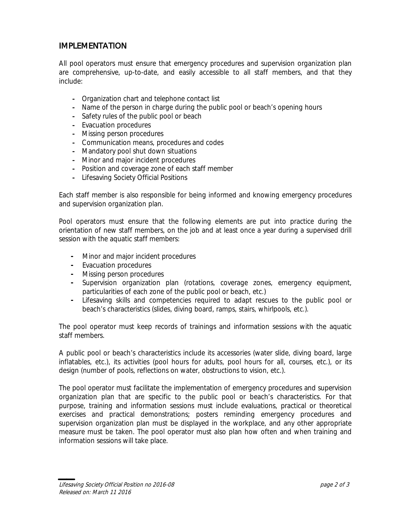## IMPLEMENTATION

All pool operators must ensure that emergency procedures and supervision organization plan are comprehensive, up-to-date, and easily accessible to all staff members, and that they include:

- **-** Organization chart and telephone contact list
- **-** Name of the person in charge during the public pool or beach's opening hours
- **-** Safety rules of the public pool or beach
- **-** Evacuation procedures
- **-** Missing person procedures
- **-** Communication means, procedures and codes
- **-** Mandatory pool shut down situations
- **-** Minor and major incident procedures
- **-** Position and coverage zone of each staff member
- **-** Lifesaving Society Official Positions

Each staff member is also responsible for being informed and knowing emergency procedures and supervision organization plan.

Pool operators must ensure that the following elements are put into practice during the orientation of new staff members, on the job and at least once a year during a supervised drill session with the aquatic staff members:

- **-** Minor and major incident procedures
- **-** Evacuation procedures
- **-** Missing person procedures
- **-** Supervision organization plan (rotations, coverage zones, emergency equipment, particularities of each zone of the public pool or beach, etc.)
- **-** Lifesaving skills and competencies required to adapt rescues to the public pool or beach's characteristics (slides, diving board, ramps, stairs, whirlpools, etc.).

The pool operator must keep records of trainings and information sessions with the aquatic staff members.

A public pool or beach's characteristics include its accessories (water slide, diving board, large inflatables, etc.), its activities (pool hours for adults, pool hours for all, courses, etc.), or its design (number of pools, reflections on water, obstructions to vision, etc.).

The pool operator must facilitate the implementation of emergency procedures and supervision organization plan that are specific to the public pool or beach's characteristics. For that purpose, training and information sessions must include evaluations, practical or theoretical exercises and practical demonstrations; posters reminding emergency procedures and supervision organization plan must be displayed in the workplace, and any other appropriate measure must be taken. The pool operator must also plan how often and when training and information sessions will take place.